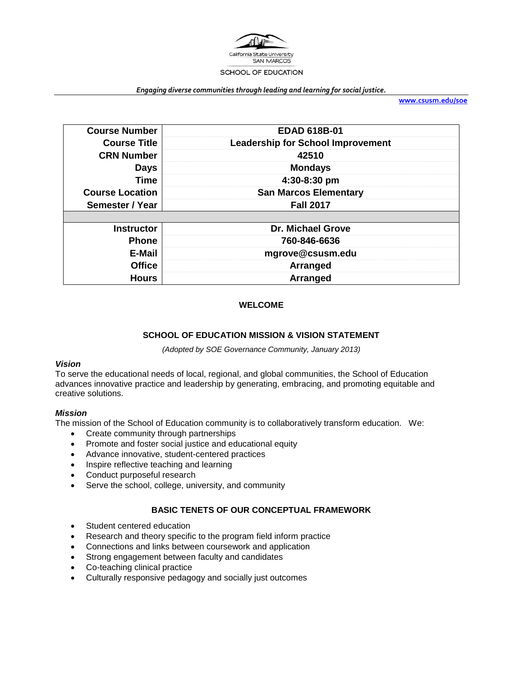

*Engaging diverse communities through leading and learning for social justice.*

**[www.csusm.edu/soe](http://www.csusm.edu/soe)**

| <b>Course Number</b>   | <b>EDAD 618B-01</b>                      |  |
|------------------------|------------------------------------------|--|
| <b>Course Title</b>    | <b>Leadership for School Improvement</b> |  |
| <b>CRN Number</b>      | 42510                                    |  |
| <b>Days</b>            | <b>Mondays</b>                           |  |
| <b>Time</b>            | 4:30-8:30 pm                             |  |
| <b>Course Location</b> | <b>San Marcos Elementary</b>             |  |
| Semester / Year        | <b>Fall 2017</b>                         |  |
|                        |                                          |  |
| <b>Instructor</b>      | <b>Dr. Michael Grove</b>                 |  |
| <b>Phone</b>           | 760-846-6636                             |  |
| E-Mail                 | mgrove@csusm.edu                         |  |
| <b>Office</b>          | Arranged                                 |  |
| <b>Hours</b>           | Arranged                                 |  |

#### **WELCOME**

#### **SCHOOL OF EDUCATION MISSION & VISION STATEMENT**

*(Adopted by SOE Governance Community, January 2013)*

#### *Vision*

To serve the educational needs of local, regional, and global communities, the School of Education advances innovative practice and leadership by generating, embracing, and promoting equitable and creative solutions.

#### *Mission*

The mission of the School of Education community is to collaboratively transform education. We:

- Create community through partnerships
- Promote and foster social justice and educational equity
- Advance innovative, student-centered practices
- Inspire reflective teaching and learning
- Conduct purposeful research
- Serve the school, college, university, and community

#### **BASIC TENETS OF OUR CONCEPTUAL FRAMEWORK**

- Student centered education
- Research and theory specific to the program field inform practice
- Connections and links between coursework and application
- Strong engagement between faculty and candidates
- Co-teaching clinical practice
- Culturally responsive pedagogy and socially just outcomes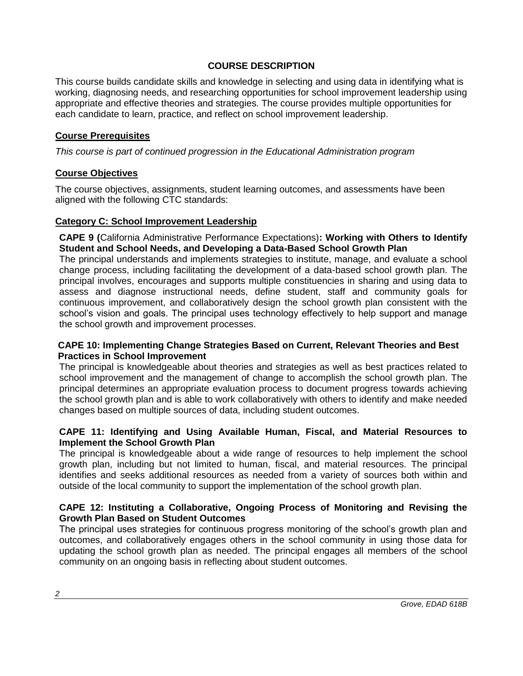## **COURSE DESCRIPTION**

This course builds candidate skills and knowledge in selecting and using data in identifying what is working, diagnosing needs, and researching opportunities for school improvement leadership using appropriate and effective theories and strategies. The course provides multiple opportunities for each candidate to learn, practice, and reflect on school improvement leadership.

# **Course Prerequisites**

*This course is part of continued progression in the Educational Administration program*

## **Course Objectives**

The course objectives, assignments, student learning outcomes, and assessments have been aligned with the following CTC standards:

## **Category C: School Improvement Leadership**

**CAPE 9 (**California Administrative Performance Expectations)**: Working with Others to Identify Student and School Needs, and Developing a Data-Based School Growth Plan**

The principal understands and implements strategies to institute, manage, and evaluate a school change process, including facilitating the development of a data-based school growth plan. The principal involves, encourages and supports multiple constituencies in sharing and using data to assess and diagnose instructional needs, define student, staff and community goals for continuous improvement, and collaboratively design the school growth plan consistent with the school's vision and goals. The principal uses technology effectively to help support and manage the school growth and improvement processes.

### **CAPE 10: Implementing Change Strategies Based on Current, Relevant Theories and Best Practices in School Improvement**

The principal is knowledgeable about theories and strategies as well as best practices related to school improvement and the management of change to accomplish the school growth plan. The principal determines an appropriate evaluation process to document progress towards achieving the school growth plan and is able to work collaboratively with others to identify and make needed changes based on multiple sources of data, including student outcomes.

### **CAPE 11: Identifying and Using Available Human, Fiscal, and Material Resources to Implement the School Growth Plan**

The principal is knowledgeable about a wide range of resources to help implement the school growth plan, including but not limited to human, fiscal, and material resources. The principal identifies and seeks additional resources as needed from a variety of sources both within and outside of the local community to support the implementation of the school growth plan.

### **CAPE 12: Instituting a Collaborative, Ongoing Process of Monitoring and Revising the Growth Plan Based on Student Outcomes**

The principal uses strategies for continuous progress monitoring of the school's growth plan and outcomes, and collaboratively engages others in the school community in using those data for updating the school growth plan as needed. The principal engages all members of the school community on an ongoing basis in reflecting about student outcomes.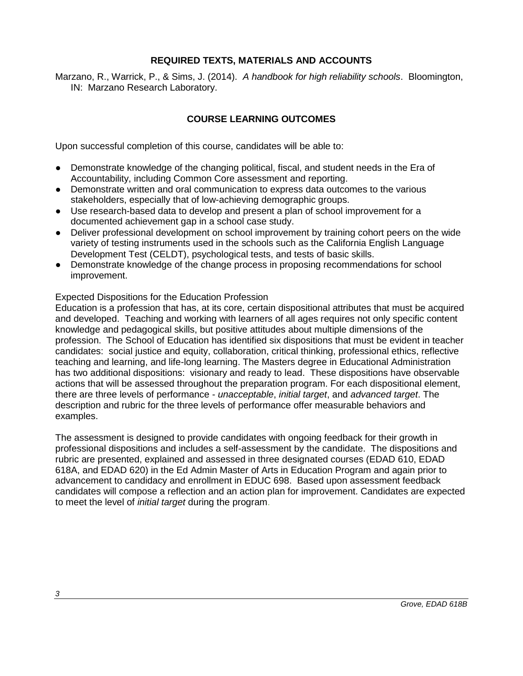## **REQUIRED TEXTS, MATERIALS AND ACCOUNTS**

Marzano, R., Warrick, P., & Sims, J. (2014). *A handbook for high reliability schools*. Bloomington, IN: Marzano Research Laboratory.

# **COURSE LEARNING OUTCOMES**

Upon successful completion of this course, candidates will be able to:

- Demonstrate knowledge of the changing political, fiscal, and student needs in the Era of Accountability, including Common Core assessment and reporting.
- Demonstrate written and oral communication to express data outcomes to the various stakeholders, especially that of low-achieving demographic groups.
- Use research-based data to develop and present a plan of school improvement for a documented achievement gap in a school case study.
- Deliver professional development on school improvement by training cohort peers on the wide variety of testing instruments used in the schools such as the California English Language Development Test (CELDT), psychological tests, and tests of basic skills.
- Demonstrate knowledge of the change process in proposing recommendations for school improvement.

#### Expected Dispositions for the Education Profession

Education is a profession that has, at its core, certain dispositional attributes that must be acquired and developed. Teaching and working with learners of all ages requires not only specific content knowledge and pedagogical skills, but positive attitudes about multiple dimensions of the profession. The School of Education has identified six dispositions that must be evident in teacher candidates: social justice and equity, collaboration, critical thinking, professional ethics, reflective teaching and learning, and life-long learning. The Masters degree in Educational Administration has two additional dispositions: visionary and ready to lead. These dispositions have observable actions that will be assessed throughout the preparation program. For each dispositional element, there are three levels of performance - *unacceptable*, *initial target*, and *advanced target*. The description and rubric for the three levels of performance offer measurable behaviors and examples.

The assessment is designed to provide candidates with ongoing feedback for their growth in professional dispositions and includes a self-assessment by the candidate. The dispositions and rubric are presented, explained and assessed in three designated courses (EDAD 610, EDAD 618A, and EDAD 620) in the Ed Admin Master of Arts in Education Program and again prior to advancement to candidacy and enrollment in EDUC 698. Based upon assessment feedback candidates will compose a reflection and an action plan for improvement. Candidates are expected to meet the level of *initial target* during the program.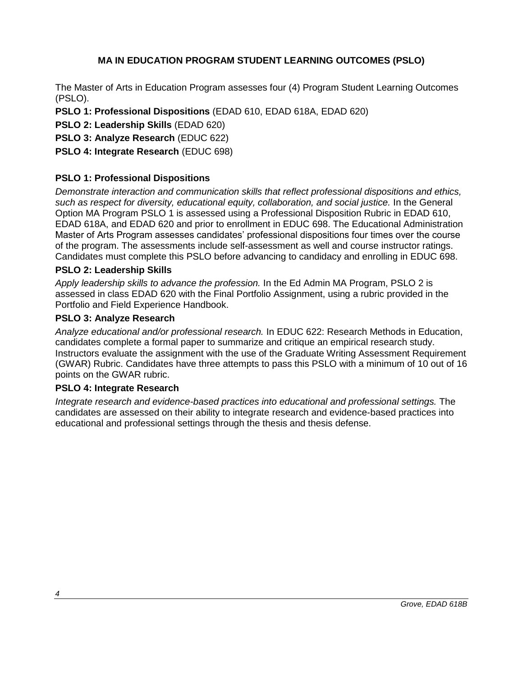# **MA IN EDUCATION PROGRAM STUDENT LEARNING OUTCOMES (PSLO)**

The Master of Arts in Education Program assesses four (4) Program Student Learning Outcomes (PSLO).

- **PSLO 1: Professional Dispositions** (EDAD 610, EDAD 618A, EDAD 620)
- **PSLO 2: Leadership Skills** (EDAD 620)
- **PSLO 3: Analyze Research** (EDUC 622)

# **PSLO 4: Integrate Research** (EDUC 698)

# **PSLO 1: Professional Dispositions**

*Demonstrate interaction and communication skills that reflect professional dispositions and ethics, such as respect for diversity, educational equity, collaboration, and social justice.* In the General Option MA Program PSLO 1 is assessed using a Professional Disposition Rubric in EDAD 610, EDAD 618A, and EDAD 620 and prior to enrollment in EDUC 698. The Educational Administration Master of Arts Program assesses candidates' professional dispositions four times over the course of the program. The assessments include self-assessment as well and course instructor ratings. Candidates must complete this PSLO before advancing to candidacy and enrolling in EDUC 698.

## **PSLO 2: Leadership Skills**

*Apply leadership skills to advance the profession.* In the Ed Admin MA Program, PSLO 2 is assessed in class EDAD 620 with the Final Portfolio Assignment, using a rubric provided in the Portfolio and Field Experience Handbook.

### **PSLO 3: Analyze Research**

*Analyze educational and/or professional research.* In EDUC 622: Research Methods in Education, candidates complete a formal paper to summarize and critique an empirical research study. Instructors evaluate the assignment with the use of the Graduate Writing Assessment Requirement (GWAR) Rubric. Candidates have three attempts to pass this PSLO with a minimum of 10 out of 16 points on the GWAR rubric.

### **PSLO 4: Integrate Research**

*Integrate research and evidence-based practices into educational and professional settings.* The candidates are assessed on their ability to integrate research and evidence-based practices into educational and professional settings through the thesis and thesis defense.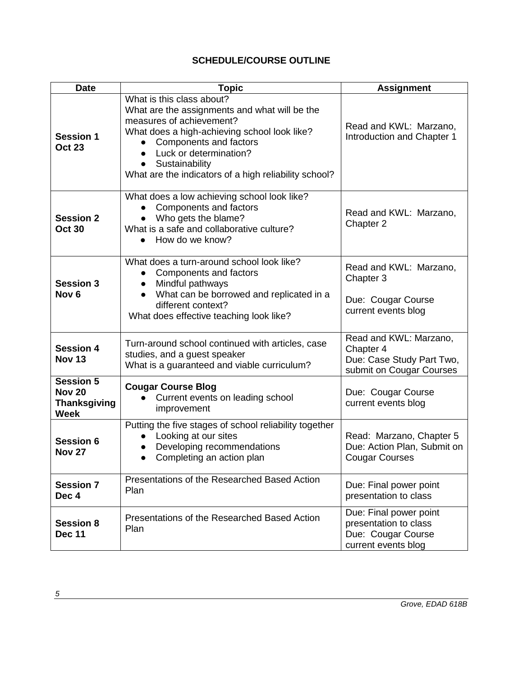# **SCHEDULE/COURSE OUTLINE**

| <b>Date</b>                                                             | <b>Topic</b>                                                                                                                                                                                                                                                                                       | <b>Assignment</b>                                                                            |
|-------------------------------------------------------------------------|----------------------------------------------------------------------------------------------------------------------------------------------------------------------------------------------------------------------------------------------------------------------------------------------------|----------------------------------------------------------------------------------------------|
| <b>Session 1</b><br><b>Oct 23</b>                                       | What is this class about?<br>What are the assignments and what will be the<br>measures of achievement?<br>What does a high-achieving school look like?<br>Components and factors<br>Luck or determination?<br>Sustainability<br>$\bullet$<br>What are the indicators of a high reliability school? | Read and KWL: Marzano,<br>Introduction and Chapter 1                                         |
| <b>Session 2</b><br><b>Oct 30</b>                                       | What does a low achieving school look like?<br>Components and factors<br>Who gets the blame?<br>What is a safe and collaborative culture?<br>How do we know?<br>$\bullet$                                                                                                                          | Read and KWL: Marzano,<br>Chapter 2                                                          |
| <b>Session 3</b><br>Nov <sub>6</sub>                                    | What does a turn-around school look like?<br>Components and factors<br>Mindful pathways<br>What can be borrowed and replicated in a<br>different context?<br>What does effective teaching look like?                                                                                               | Read and KWL: Marzano,<br>Chapter 3<br>Due: Cougar Course<br>current events blog             |
| <b>Session 4</b><br><b>Nov 13</b>                                       | Turn-around school continued with articles, case<br>studies, and a guest speaker<br>What is a guaranteed and viable curriculum?                                                                                                                                                                    | Read and KWL: Marzano,<br>Chapter 4<br>Due: Case Study Part Two,<br>submit on Cougar Courses |
| <b>Session 5</b><br><b>Nov 20</b><br><b>Thanksgiving</b><br><b>Week</b> | <b>Cougar Course Blog</b><br>Current events on leading school<br>improvement                                                                                                                                                                                                                       | Due: Cougar Course<br>current events blog                                                    |
| <b>Session 6</b><br><b>Nov 27</b>                                       | Putting the five stages of school reliability together<br>Looking at our sites<br>Developing recommendations<br>Completing an action plan                                                                                                                                                          | Read: Marzano, Chapter 5<br>Due: Action Plan, Submit on<br><b>Cougar Courses</b>             |
| <b>Session 7</b><br>Dec 4                                               | Presentations of the Researched Based Action<br>Plan                                                                                                                                                                                                                                               | Due: Final power point<br>presentation to class                                              |
| <b>Session 8</b><br><b>Dec 11</b>                                       | Presentations of the Researched Based Action<br>Plan                                                                                                                                                                                                                                               | Due: Final power point<br>presentation to class<br>Due: Cougar Course<br>current events blog |

<u> 1989 - Johann Barn, mars ann an t-Amhain Aonaich an t-Aonaich an t-Aonaich an t-Aonaich an t-Aonaich ann an t-</u>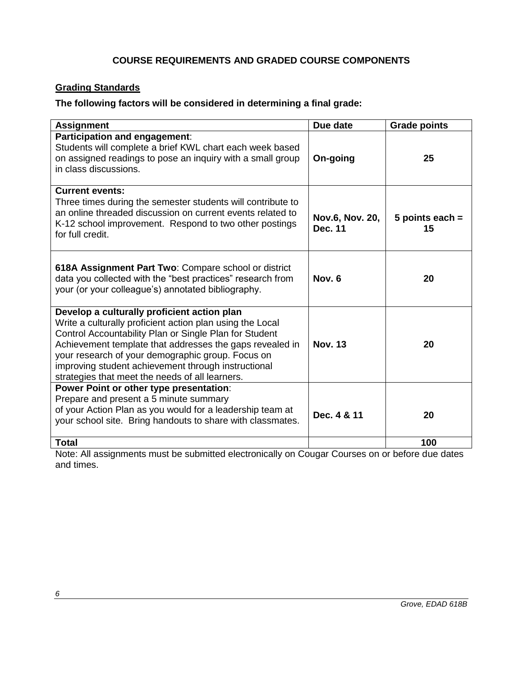# **COURSE REQUIREMENTS AND GRADED COURSE COMPONENTS**

# **Grading Standards**

# **The following factors will be considered in determining a final grade:**

| <b>Assignment</b>                                                                                                                                                                                                                                                                                                                                                                             | Due date                          | <b>Grade points</b>     |
|-----------------------------------------------------------------------------------------------------------------------------------------------------------------------------------------------------------------------------------------------------------------------------------------------------------------------------------------------------------------------------------------------|-----------------------------------|-------------------------|
| Participation and engagement:<br>Students will complete a brief KWL chart each week based<br>on assigned readings to pose an inquiry with a small group<br>in class discussions.                                                                                                                                                                                                              | On-going                          | 25                      |
| <b>Current events:</b><br>Three times during the semester students will contribute to<br>an online threaded discussion on current events related to<br>K-12 school improvement. Respond to two other postings<br>for full credit.                                                                                                                                                             | Nov.6, Nov. 20,<br><b>Dec. 11</b> | 5 points each $=$<br>15 |
| 618A Assignment Part Two: Compare school or district<br>data you collected with the "best practices" research from<br>your (or your colleague's) annotated bibliography.                                                                                                                                                                                                                      | Nov. 6                            | 20                      |
| Develop a culturally proficient action plan<br>Write a culturally proficient action plan using the Local<br>Control Accountability Plan or Single Plan for Student<br>Achievement template that addresses the gaps revealed in<br>your research of your demographic group. Focus on<br>improving student achievement through instructional<br>strategies that meet the needs of all learners. | <b>Nov. 13</b>                    | 20                      |
| Power Point or other type presentation:<br>Prepare and present a 5 minute summary<br>of your Action Plan as you would for a leadership team at<br>your school site. Bring handouts to share with classmates.                                                                                                                                                                                  | Dec. 4 & 11                       | 20                      |
| <b>Total</b>                                                                                                                                                                                                                                                                                                                                                                                  |                                   | 100                     |

Note: All assignments must be submitted electronically on Cougar Courses on or before due dates and times.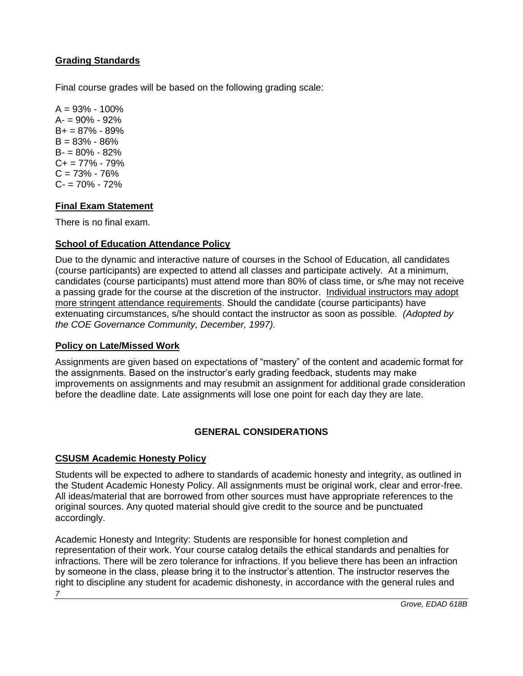# **Grading Standards**

Final course grades will be based on the following grading scale:

 $A = 93\% - 100\%$  $A = 90\% - 92\%$  $B+ = 87\% - 89\%$  $B = 83\% - 86\%$ B- = 80% - 82%  $C_{+}$  = 77% - 79%  $C = 73\% - 76\%$  $C = 70\% - 72\%$ 

# **Final Exam Statement**

There is no final exam.

# **School of Education Attendance Policy**

Due to the dynamic and interactive nature of courses in the School of Education, all candidates (course participants) are expected to attend all classes and participate actively. At a minimum, candidates (course participants) must attend more than 80% of class time, or s/he may not receive a passing grade for the course at the discretion of the instructor. Individual instructors may adopt more stringent attendance requirements. Should the candidate (course participants) have extenuating circumstances, s/he should contact the instructor as soon as possible. *(Adopted by the COE Governance Community, December, 1997).*

# **Policy on Late/Missed Work**

Assignments are given based on expectations of "mastery" of the content and academic format for the assignments. Based on the instructor's early grading feedback, students may make improvements on assignments and may resubmit an assignment for additional grade consideration before the deadline date. Late assignments will lose one point for each day they are late.

# **GENERAL CONSIDERATIONS**

# **CSUSM Academic Honesty Policy**

Students will be expected to adhere to standards of academic honesty and integrity, as outlined in the Student Academic Honesty Policy. All assignments must be original work, clear and error-free. All ideas/material that are borrowed from other sources must have appropriate references to the original sources. Any quoted material should give credit to the source and be punctuated accordingly.

*7* Academic Honesty and Integrity: Students are responsible for honest completion and representation of their work. Your course catalog details the ethical standards and penalties for infractions. There will be zero tolerance for infractions. If you believe there has been an infraction by someone in the class, please bring it to the instructor's attention. The instructor reserves the right to discipline any student for academic dishonesty, in accordance with the general rules and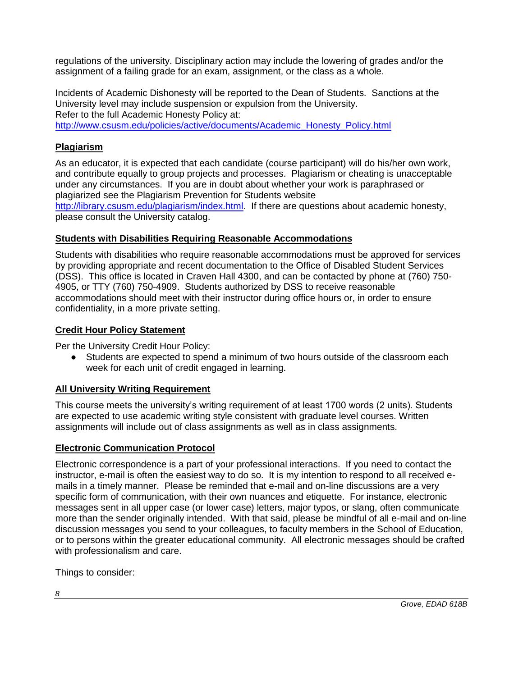regulations of the university. Disciplinary action may include the lowering of grades and/or the assignment of a failing grade for an exam, assignment, or the class as a whole.

Incidents of Academic Dishonesty will be reported to the Dean of Students. Sanctions at the University level may include suspension or expulsion from the University. Refer to the full Academic Honesty Policy at: [http://www.csusm.edu/policies/active/documents/Academic\\_Honesty\\_Policy.html](http://www.csusm.edu/policies/active/documents/Academic_Honesty_Policy.html)

# **Plagiarism**

As an educator, it is expected that each candidate (course participant) will do his/her own work, and contribute equally to group projects and processes. Plagiarism or cheating is unacceptable under any circumstances. If you are in doubt about whether your work is paraphrased or plagiarized see the Plagiarism Prevention for Students website

[http://library.csusm.edu/plagiarism/index.html.](http://library.csusm.edu/plagiarism/index.html) If there are questions about academic honesty, please consult the University catalog.

## **Students with Disabilities Requiring Reasonable Accommodations**

Students with disabilities who require reasonable accommodations must be approved for services by providing appropriate and recent documentation to the Office of Disabled Student Services (DSS). This office is located in Craven Hall 4300, and can be contacted by phone at (760) 750- 4905, or TTY (760) 750-4909. Students authorized by DSS to receive reasonable accommodations should meet with their instructor during office hours or, in order to ensure confidentiality, in a more private setting.

# **Credit Hour Policy Statement**

Per the University Credit Hour Policy:

● Students are expected to spend a minimum of two hours outside of the classroom each week for each unit of credit engaged in learning.

# **All University Writing Requirement**

This course meets the university's writing requirement of at least 1700 words (2 units). Students are expected to use academic writing style consistent with graduate level courses. Written assignments will include out of class assignments as well as in class assignments.

# **Electronic Communication Protocol**

Electronic correspondence is a part of your professional interactions. If you need to contact the instructor, e-mail is often the easiest way to do so. It is my intention to respond to all received emails in a timely manner. Please be reminded that e-mail and on-line discussions are a very specific form of communication, with their own nuances and etiquette. For instance, electronic messages sent in all upper case (or lower case) letters, major typos, or slang, often communicate more than the sender originally intended. With that said, please be mindful of all e-mail and on-line discussion messages you send to your colleagues, to faculty members in the School of Education, or to persons within the greater educational community. All electronic messages should be crafted with professionalism and care.

Things to consider:

*8*